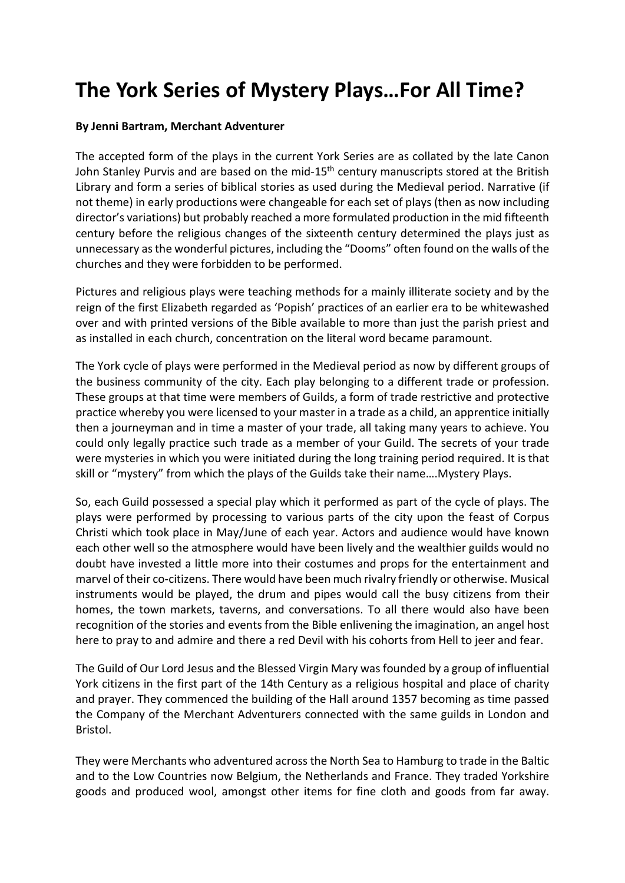## **The York Series of Mystery Plays…For All Time?**

## **By Jenni Bartram, Merchant Adventurer**

The accepted form of the plays in the current York Series are as collated by the late Canon John Stanley Purvis and are based on the mid-15<sup>th</sup> century manuscripts stored at the British Library and form a series of biblical stories as used during the Medieval period. Narrative (if not theme) in early productions were changeable for each set of plays (then as now including director's variations) but probably reached a more formulated production in the mid fifteenth century before the religious changes of the sixteenth century determined the plays just as unnecessary as the wonderful pictures, including the "Dooms" often found on the walls of the churches and they were forbidden to be performed.

Pictures and religious plays were teaching methods for a mainly illiterate society and by the reign of the first Elizabeth regarded as 'Popish' practices of an earlier era to be whitewashed over and with printed versions of the Bible available to more than just the parish priest and as installed in each church, concentration on the literal word became paramount.

The York cycle of plays were performed in the Medieval period as now by different groups of the business community of the city. Each play belonging to a different trade or profession. These groups at that time were members of Guilds, a form of trade restrictive and protective practice whereby you were licensed to your master in a trade as a child, an apprentice initially then a journeyman and in time a master of your trade, all taking many years to achieve. You could only legally practice such trade as a member of your Guild. The secrets of your trade were mysteries in which you were initiated during the long training period required. It is that skill or "mystery" from which the plays of the Guilds take their name….Mystery Plays.

So, each Guild possessed a special play which it performed as part of the cycle of plays. The plays were performed by processing to various parts of the city upon the feast of Corpus Christi which took place in May/June of each year. Actors and audience would have known each other well so the atmosphere would have been lively and the wealthier guilds would no doubt have invested a little more into their costumes and props for the entertainment and marvel of their co-citizens. There would have been much rivalry friendly or otherwise. Musical instruments would be played, the drum and pipes would call the busy citizens from their homes, the town markets, taverns, and conversations. To all there would also have been recognition of the stories and events from the Bible enlivening the imagination, an angel host here to pray to and admire and there a red Devil with his cohorts from Hell to jeer and fear.

The Guild of Our Lord Jesus and the Blessed Virgin Mary was founded by a group of influential York citizens in the first part of the 14th Century as a religious hospital and place of charity and prayer. They commenced the building of the Hall around 1357 becoming as time passed the Company of the Merchant Adventurers connected with the same guilds in London and Bristol.

They were Merchants who adventured across the North Sea to Hamburg to trade in the Baltic and to the Low Countries now Belgium, the Netherlands and France. They traded Yorkshire goods and produced wool, amongst other items for fine cloth and goods from far away.